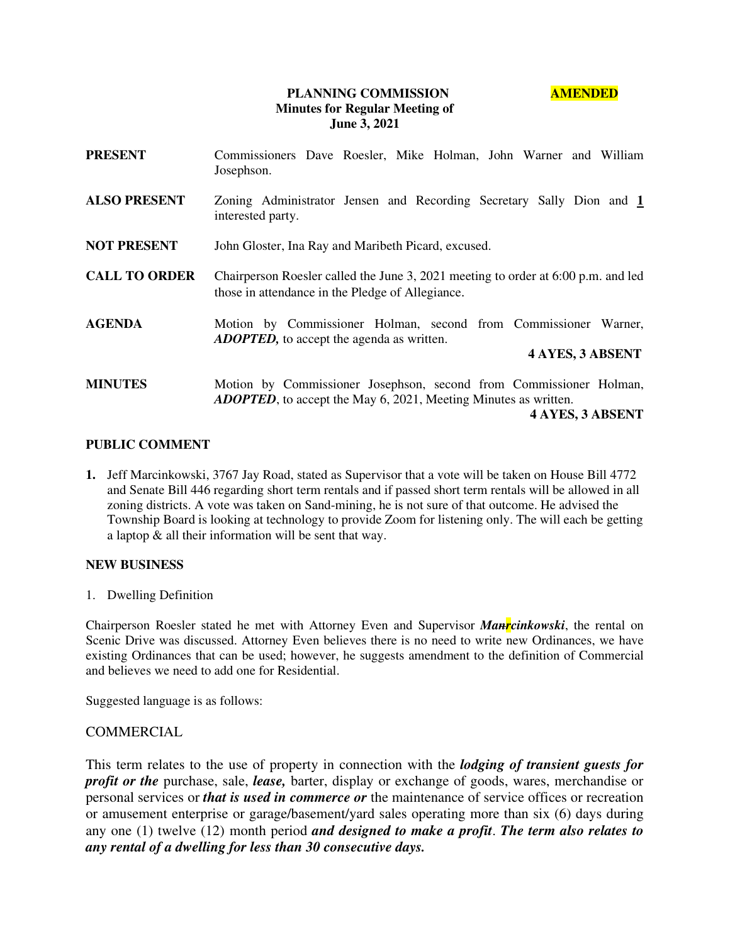## **PLANNING COMMISSION AMENDED Minutes for Regular Meeting of June 3, 2021**

| <b>PRESENT</b>       | Commissioners Dave Roesler, Mike Holman, John Warner and William<br>Josephson.                                                                |
|----------------------|-----------------------------------------------------------------------------------------------------------------------------------------------|
| <b>ALSO PRESENT</b>  | Zoning Administrator Jensen and Recording Secretary Sally Dion and 1<br>interested party.                                                     |
| <b>NOT PRESENT</b>   | John Gloster, Ina Ray and Maribeth Picard, excused.                                                                                           |
| <b>CALL TO ORDER</b> | Chairperson Roesler called the June 3, 2021 meeting to order at 6:00 p.m. and led<br>those in attendance in the Pledge of Allegiance.         |
| <b>AGENDA</b>        | Motion by Commissioner Holman, second from Commissioner Warner,<br><b>ADOPTED</b> , to accept the agenda as written.                          |
|                      | <b>4 AYES, 3 ABSENT</b>                                                                                                                       |
| <b>MINUTES</b>       | Motion by Commissioner Josephson, second from Commissioner Holman,<br><b>ADOPTED</b> , to accept the May 6, 2021, Meeting Minutes as written. |
|                      | 4 AYES, 3 ABSENT                                                                                                                              |

#### **PUBLIC COMMENT**

**1.** Jeff Marcinkowski, 3767 Jay Road, stated as Supervisor that a vote will be taken on House Bill 4772 and Senate Bill 446 regarding short term rentals and if passed short term rentals will be allowed in all zoning districts. A vote was taken on Sand-mining, he is not sure of that outcome. He advised the Township Board is looking at technology to provide Zoom for listening only. The will each be getting a laptop & all their information will be sent that way.

## **NEW BUSINESS**

1. Dwelling Definition

Chairperson Roesler stated he met with Attorney Even and Supervisor *Manrcinkowski*, the rental on Scenic Drive was discussed. Attorney Even believes there is no need to write new Ordinances, we have existing Ordinances that can be used; however, he suggests amendment to the definition of Commercial and believes we need to add one for Residential.

Suggested language is as follows:

## **COMMERCIAL**

This term relates to the use of property in connection with the *lodging of transient guests for profit or the* purchase, sale, *lease*, barter, display or exchange of goods, wares, merchandise or personal services or *that is used in commerce or* the maintenance of service offices or recreation or amusement enterprise or garage/basement/yard sales operating more than six (6) days during any one (1) twelve (12) month period *and designed to make a profit*. *The term also relates to any rental of a dwelling for less than 30 consecutive days.*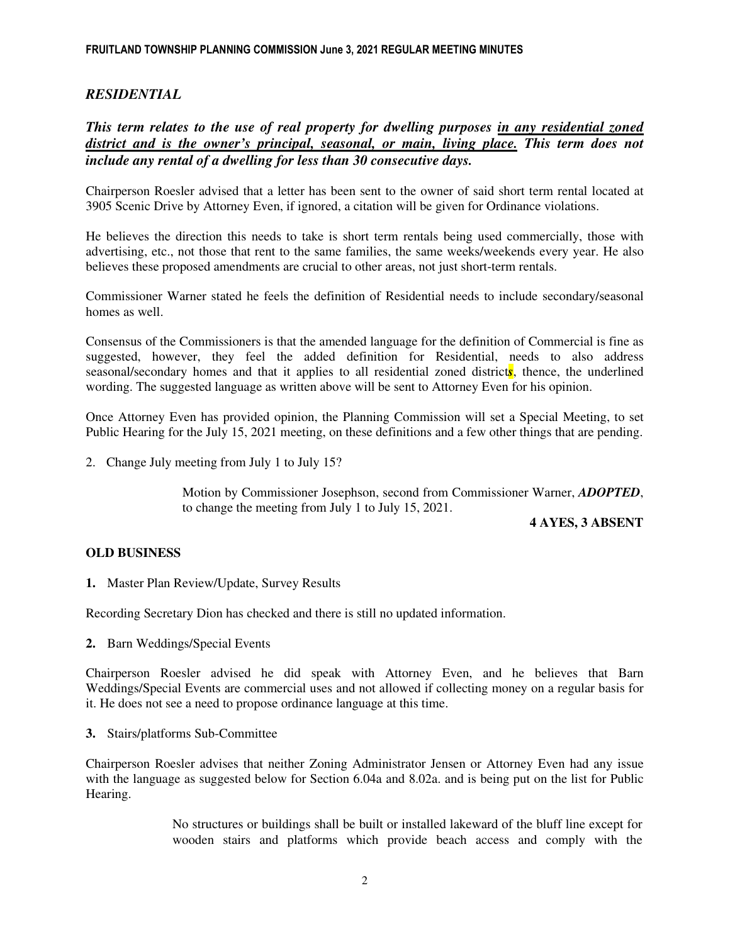# *RESIDENTIAL*

*This term relates to the use of real property for dwelling purposes in any residential zoned district and is the owner's principal, seasonal, or main, living place. This term does not include any rental of a dwelling for less than 30 consecutive days.* 

Chairperson Roesler advised that a letter has been sent to the owner of said short term rental located at 3905 Scenic Drive by Attorney Even, if ignored, a citation will be given for Ordinance violations.

He believes the direction this needs to take is short term rentals being used commercially, those with advertising, etc., not those that rent to the same families, the same weeks/weekends every year. He also believes these proposed amendments are crucial to other areas, not just short-term rentals.

Commissioner Warner stated he feels the definition of Residential needs to include secondary/seasonal homes as well.

Consensus of the Commissioners is that the amended language for the definition of Commercial is fine as suggested, however, they feel the added definition for Residential, needs to also address seasonal/secondary homes and that it applies to all residential zoned district*s*, thence, the underlined wording. The suggested language as written above will be sent to Attorney Even for his opinion.

Once Attorney Even has provided opinion, the Planning Commission will set a Special Meeting, to set Public Hearing for the July 15, 2021 meeting, on these definitions and a few other things that are pending.

2. Change July meeting from July 1 to July 15?

Motion by Commissioner Josephson, second from Commissioner Warner, *ADOPTED*, to change the meeting from July 1 to July 15, 2021.

 **4 AYES, 3 ABSENT**

## **OLD BUSINESS**

**1.** Master Plan Review/Update, Survey Results

Recording Secretary Dion has checked and there is still no updated information.

**2.** Barn Weddings/Special Events

Chairperson Roesler advised he did speak with Attorney Even, and he believes that Barn Weddings/Special Events are commercial uses and not allowed if collecting money on a regular basis for it. He does not see a need to propose ordinance language at this time.

**3.** Stairs/platforms Sub-Committee

Chairperson Roesler advises that neither Zoning Administrator Jensen or Attorney Even had any issue with the language as suggested below for Section 6.04a and 8.02a. and is being put on the list for Public Hearing.

> No structures or buildings shall be built or installed lakeward of the bluff line except for wooden stairs and platforms which provide beach access and comply with the